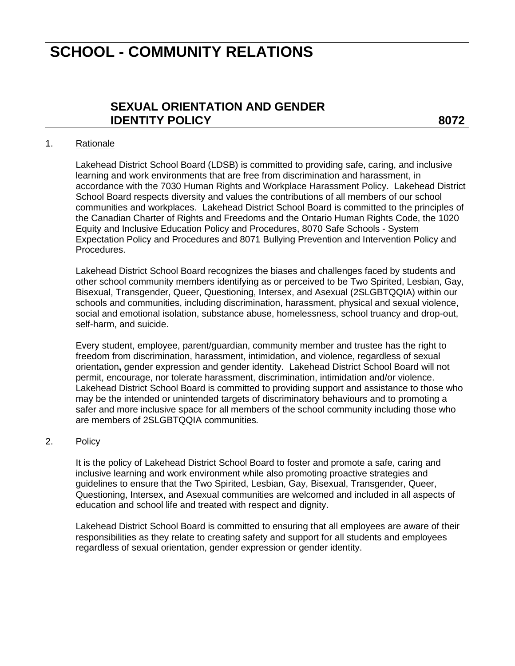## **SCHOOL - COMMUNITY RELATIONS**

### **SEXUAL ORIENTATION AND GENDER IDENTITY POLICY** 8072

#### 1. Rationale

Lakehead District School Board (LDSB) is committed to providing safe, caring, and inclusive learning and work environments that are free from discrimination and harassment, in accordance with the 7030 Human Rights and Workplace Harassment Policy. Lakehead District School Board respects diversity and values the contributions of all members of our school communities and workplaces. Lakehead District School Board is committed to the principles of the Canadian Charter of Rights and Freedoms and the Ontario Human Rights Code, the 1020 Equity and Inclusive Education Policy and Procedures, 8070 Safe Schools - System Expectation Policy and Procedures and 8071 Bullying Prevention and Intervention Policy and Procedures.

Lakehead District School Board recognizes the biases and challenges faced by students and other school community members identifying as or perceived to be Two Spirited, Lesbian, Gay, Bisexual, Transgender, Queer, Questioning, Intersex, and Asexual (2SLGBTQQIA) within our schools and communities, including discrimination, harassment, physical and sexual violence, social and emotional isolation, substance abuse, homelessness, school truancy and drop-out, self-harm, and suicide.

Every student, employee, parent/guardian, community member and trustee has the right to freedom from discrimination, harassment, intimidation, and violence, regardless of sexual orientation**,** gender expression and gender identity. Lakehead District School Board will not permit, encourage, nor tolerate harassment, discrimination, intimidation and/or violence. Lakehead District School Board is committed to providing support and assistance to those who may be the intended or unintended targets of discriminatory behaviours and to promoting a safer and more inclusive space for all members of the school community including those who are members of 2SLGBTQQIA communities*.*

#### 2. Policy

It is the policy of Lakehead District School Board to foster and promote a safe, caring and inclusive learning and work environment while also promoting proactive strategies and guidelines to ensure that the Two Spirited, Lesbian, Gay, Bisexual, Transgender, Queer, Questioning, Intersex, and Asexual communities are welcomed and included in all aspects of education and school life and treated with respect and dignity.

Lakehead District School Board is committed to ensuring that all employees are aware of their responsibilities as they relate to creating safety and support for all students and employees regardless of sexual orientation, gender expression or gender identity.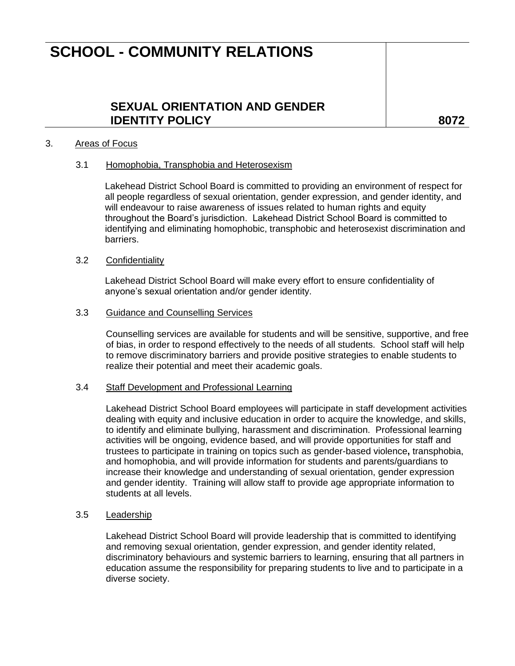## **SCHOOL - COMMUNITY RELATIONS**

### **SEXUAL ORIENTATION AND GENDER IDENTITY POLICY** 8072

#### 3. Areas of Focus

#### 3.1 Homophobia, Transphobia and Heterosexism

Lakehead District School Board is committed to providing an environment of respect for all people regardless of sexual orientation, gender expression, and gender identity, and will endeavour to raise awareness of issues related to human rights and equity throughout the Board's jurisdiction. Lakehead District School Board is committed to identifying and eliminating homophobic, transphobic and heterosexist discrimination and barriers.

#### 3.2 Confidentiality

Lakehead District School Board will make every effort to ensure confidentiality of anyone's sexual orientation and/or gender identity.

#### 3.3 Guidance and Counselling Services

Counselling services are available for students and will be sensitive, supportive, and free of bias, in order to respond effectively to the needs of all students. School staff will help to remove discriminatory barriers and provide positive strategies to enable students to realize their potential and meet their academic goals.

#### 3.4 Staff Development and Professional Learning

Lakehead District School Board employees will participate in staff development activities dealing with equity and inclusive education in order to acquire the knowledge, and skills, to identify and eliminate bullying, harassment and discrimination. Professional learning activities will be ongoing, evidence based, and will provide opportunities for staff and trustees to participate in training on topics such as gender-based violence**,** transphobia, and homophobia, and will provide information for students and parents/guardians to increase their knowledge and understanding of sexual orientation, gender expression and gender identity. Training will allow staff to provide age appropriate information to students at all levels.

#### 3.5 Leadership

Lakehead District School Board will provide leadership that is committed to identifying and removing sexual orientation, gender expression, and gender identity related, discriminatory behaviours and systemic barriers to learning, ensuring that all partners in education assume the responsibility for preparing students to live and to participate in a diverse society.